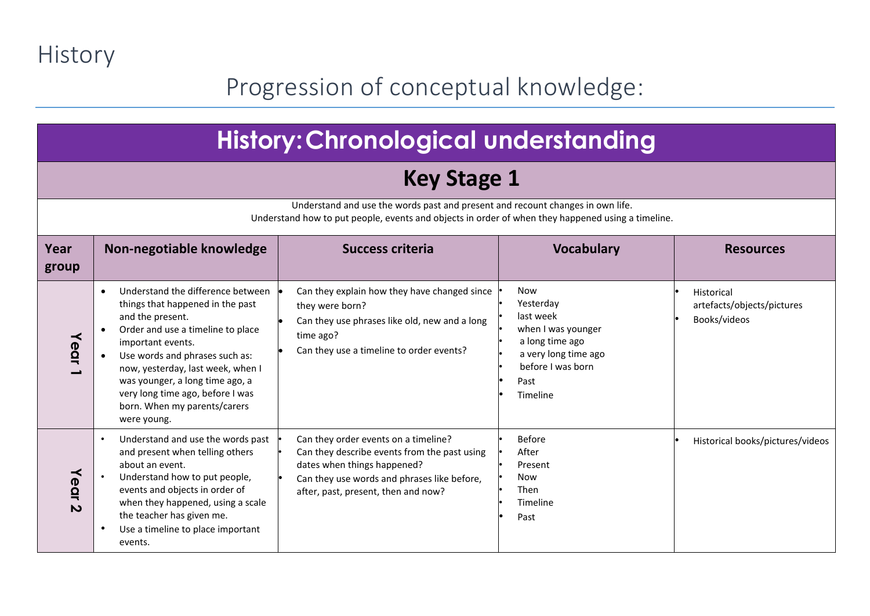History

#### Progression of conceptual knowledge:

|               | <b>History: Chronological understanding</b>                                                                                                                                                                                                                                                                                                      |                                                                                                                                                                                                           |                                                                                                                                                |                                                          |
|---------------|--------------------------------------------------------------------------------------------------------------------------------------------------------------------------------------------------------------------------------------------------------------------------------------------------------------------------------------------------|-----------------------------------------------------------------------------------------------------------------------------------------------------------------------------------------------------------|------------------------------------------------------------------------------------------------------------------------------------------------|----------------------------------------------------------|
|               |                                                                                                                                                                                                                                                                                                                                                  | <b>Key Stage 1</b>                                                                                                                                                                                        |                                                                                                                                                |                                                          |
|               |                                                                                                                                                                                                                                                                                                                                                  | Understand and use the words past and present and recount changes in own life.<br>Understand how to put people, events and objects in order of when they happened using a timeline.                       |                                                                                                                                                |                                                          |
| Year<br>group | Non-negotiable knowledge                                                                                                                                                                                                                                                                                                                         | <b>Success criteria</b>                                                                                                                                                                                   | <b>Vocabulary</b>                                                                                                                              | <b>Resources</b>                                         |
| Year          | Understand the difference between<br>things that happened in the past<br>and the present.<br>Order and use a timeline to place<br>important events.<br>Use words and phrases such as:<br>now, yesterday, last week, when I<br>was younger, a long time ago, a<br>very long time ago, before I was<br>born. When my parents/carers<br>were young. | Can they explain how they have changed since<br>they were born?<br>Can they use phrases like old, new and a long<br>time ago?<br>Can they use a timeline to order events?                                 | <b>Now</b><br>Yesterday<br>last week<br>when I was younger<br>a long time ago<br>a very long time ago<br>before I was born<br>Past<br>Timeline | Historical<br>artefacts/objects/pictures<br>Books/videos |
| Year<br>N     | Understand and use the words past<br>and present when telling others<br>about an event.<br>Understand how to put people,<br>events and objects in order of<br>when they happened, using a scale<br>the teacher has given me.<br>Use a timeline to place important<br>events.                                                                     | Can they order events on a timeline?<br>Can they describe events from the past using<br>dates when things happened?<br>Can they use words and phrases like before,<br>after, past, present, then and now? | <b>Before</b><br>After<br>Present<br><b>Now</b><br>Then<br>Timeline<br>Past                                                                    | Historical books/pictures/videos                         |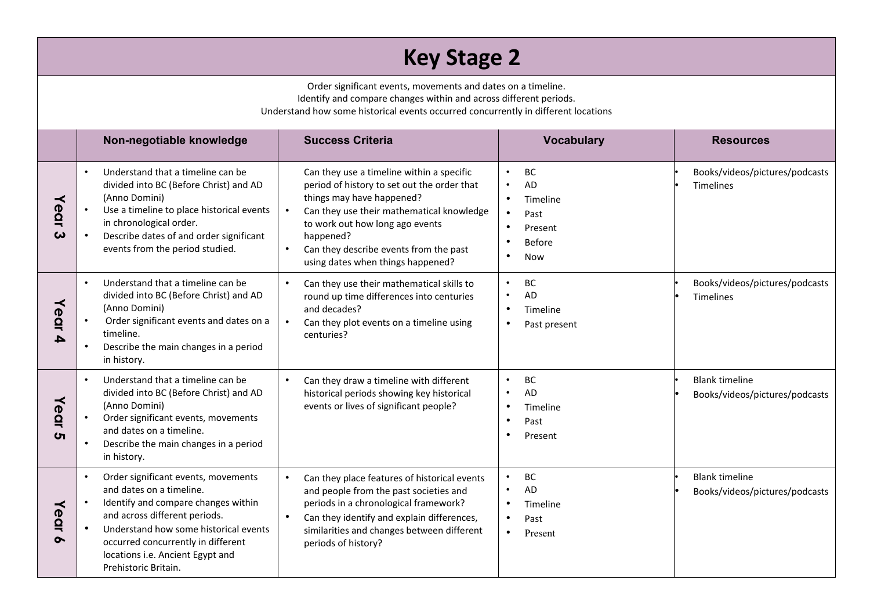#### **Key Stage 2**

Order significant events, movements and dates on a timeline. Identify and compare changes within and across different periods.

Understand how some historical events occurred concurrently in different locations

|                  | Non-negotiable knowledge                                                                                                                                                                                                                                                           | <b>Success Criteria</b>                                                                                                                                                                                                                                                                                        | <b>Vocabulary</b>                                                                                                                 | <b>Resources</b>                                        |
|------------------|------------------------------------------------------------------------------------------------------------------------------------------------------------------------------------------------------------------------------------------------------------------------------------|----------------------------------------------------------------------------------------------------------------------------------------------------------------------------------------------------------------------------------------------------------------------------------------------------------------|-----------------------------------------------------------------------------------------------------------------------------------|---------------------------------------------------------|
| Year<br>ω        | Understand that a timeline can be<br>$\bullet$<br>divided into BC (Before Christ) and AD<br>(Anno Domini)<br>Use a timeline to place historical events<br>in chronological order.<br>Describe dates of and order significant<br>events from the period studied.                    | Can they use a timeline within a specific<br>period of history to set out the order that<br>things may have happened?<br>Can they use their mathematical knowledge<br>to work out how long ago events<br>happened?<br>Can they describe events from the past<br>$\bullet$<br>using dates when things happened? | <b>BC</b><br>$\bullet$<br>AD<br>$\bullet$<br>$\bullet$<br>Timeline<br>$\bullet$<br>Past<br>Present<br><b>Before</b><br><b>Now</b> | Books/videos/pictures/podcasts<br>Timelines             |
| Year<br>4        | Understand that a timeline can be<br>$\bullet$<br>divided into BC (Before Christ) and AD<br>(Anno Domini)<br>Order significant events and dates on a<br>timeline.<br>Describe the main changes in a period<br>$\bullet$<br>in history.                                             | Can they use their mathematical skills to<br>round up time differences into centuries<br>and decades?<br>Can they plot events on a timeline using<br>$\bullet$<br>centuries?                                                                                                                                   | BC<br>$\bullet$<br><b>AD</b><br>$\bullet$<br>Timeline<br>$\bullet$<br>Past present<br>٠                                           | Books/videos/pictures/podcasts<br><b>Timelines</b>      |
| Year<br><b>ဟ</b> | Understand that a timeline can be<br>$\bullet$<br>divided into BC (Before Christ) and AD<br>(Anno Domini)<br>Order significant events, movements<br>and dates on a timeline.<br>Describe the main changes in a period<br>in history.                                               | Can they draw a timeline with different<br>$\bullet$<br>historical periods showing key historical<br>events or lives of significant people?                                                                                                                                                                    | <b>BC</b><br>$\bullet$<br>AD<br>$\bullet$<br>Timeline<br>$\bullet$<br>$\bullet$<br>Past<br>Present                                | <b>Blank timeline</b><br>Books/videos/pictures/podcasts |
| Year<br>๛        | Order significant events, movements<br>and dates on a timeline.<br>Identify and compare changes within<br>and across different periods.<br>Understand how some historical events<br>occurred concurrently in different<br>locations i.e. Ancient Egypt and<br>Prehistoric Britain. | Can they place features of historical events<br>and people from the past societies and<br>periods in a chronological framework?<br>Can they identify and explain differences,<br>similarities and changes between different<br>periods of history?                                                             | BC<br><b>AD</b><br>Timeline<br>$\bullet$<br>Past<br>$\bullet$<br>Present                                                          | <b>Blank timeline</b><br>Books/videos/pictures/podcasts |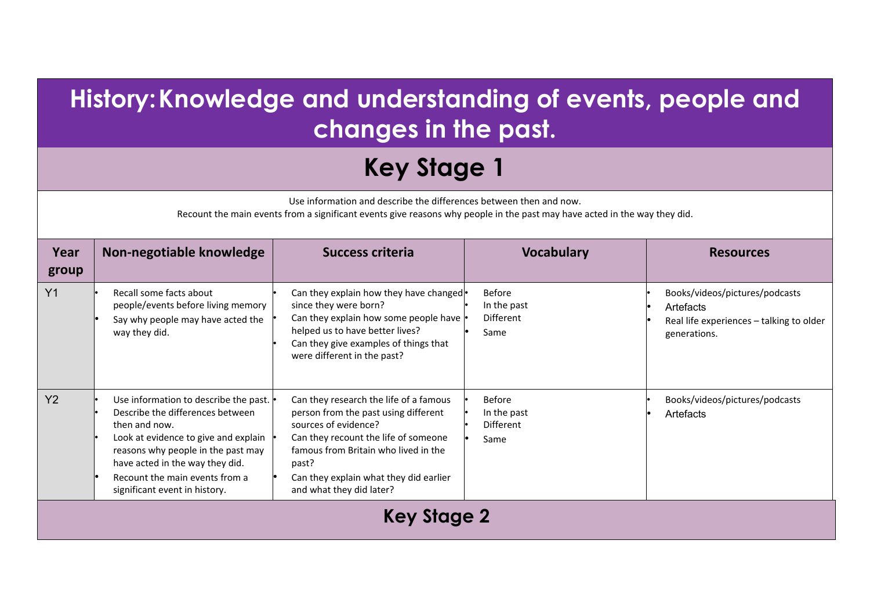## **History:Knowledge and understanding of events, people and changes in the past.**

## **Key Stage 1**

Use information and describe the differences between then and now.

Recount the main events from a significant events give reasons why people in the past may have acted in the way they did.

| Year<br>group  | Non-negotiable knowledge                                                                                                                                                                                                                                                       | <b>Success criteria</b>                                                                                                                                                                                                                                               | <b>Vocabulary</b>                                        | <b>Resources</b>                                                                                        |  |
|----------------|--------------------------------------------------------------------------------------------------------------------------------------------------------------------------------------------------------------------------------------------------------------------------------|-----------------------------------------------------------------------------------------------------------------------------------------------------------------------------------------------------------------------------------------------------------------------|----------------------------------------------------------|---------------------------------------------------------------------------------------------------------|--|
| Y <sub>1</sub> | Recall some facts about<br>people/events before living memory<br>Say why people may have acted the<br>way they did.                                                                                                                                                            | Can they explain how they have changed .<br>since they were born?<br>Can they explain how some people have<br>helped us to have better lives?<br>Can they give examples of things that<br>were different in the past?                                                 | Before<br>In the past<br>Different<br>Same               | Books/videos/pictures/podcasts<br>Artefacts<br>Real life experiences - talking to older<br>generations. |  |
| Y <sub>2</sub> | Use information to describe the past.<br>Describe the differences between<br>then and now.<br>Look at evidence to give and explain<br>reasons why people in the past may<br>have acted in the way they did.<br>Recount the main events from a<br>significant event in history. | Can they research the life of a famous<br>person from the past using different<br>sources of evidence?<br>Can they recount the life of someone<br>famous from Britain who lived in the<br>past?<br>Can they explain what they did earlier<br>and what they did later? | <b>Before</b><br>In the past<br><b>Different</b><br>Same | Books/videos/pictures/podcasts<br>Artefacts                                                             |  |
|                | <b>Key Stage 2</b>                                                                                                                                                                                                                                                             |                                                                                                                                                                                                                                                                       |                                                          |                                                                                                         |  |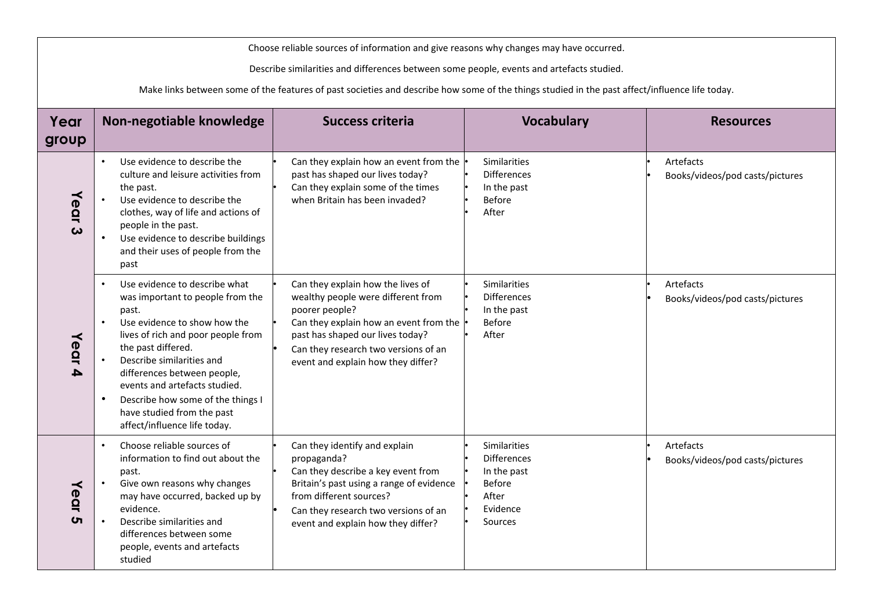| Choose reliable sources of information and give reasons why changes may have occurred. |                                                                                                                                                                                                                                                                                                                                                                                                                            |                                                                                                                                                                                                                                                       |                                                                                                    |                                              |  |
|----------------------------------------------------------------------------------------|----------------------------------------------------------------------------------------------------------------------------------------------------------------------------------------------------------------------------------------------------------------------------------------------------------------------------------------------------------------------------------------------------------------------------|-------------------------------------------------------------------------------------------------------------------------------------------------------------------------------------------------------------------------------------------------------|----------------------------------------------------------------------------------------------------|----------------------------------------------|--|
|                                                                                        | Describe similarities and differences between some people, events and artefacts studied.                                                                                                                                                                                                                                                                                                                                   |                                                                                                                                                                                                                                                       |                                                                                                    |                                              |  |
|                                                                                        |                                                                                                                                                                                                                                                                                                                                                                                                                            | Make links between some of the features of past societies and describe how some of the things studied in the past affect/influence life today.                                                                                                        |                                                                                                    |                                              |  |
| Year                                                                                   | Non-negotiable knowledge                                                                                                                                                                                                                                                                                                                                                                                                   | <b>Success criteria</b>                                                                                                                                                                                                                               | <b>Vocabulary</b>                                                                                  | <b>Resources</b>                             |  |
| group                                                                                  |                                                                                                                                                                                                                                                                                                                                                                                                                            |                                                                                                                                                                                                                                                       |                                                                                                    |                                              |  |
| Year<br>$\boldsymbol{\omega}$                                                          | Use evidence to describe the<br>$\bullet$<br>culture and leisure activities from<br>the past.<br>$\bullet$<br>Use evidence to describe the<br>clothes, way of life and actions of<br>people in the past.<br>$\bullet$<br>Use evidence to describe buildings<br>and their uses of people from the<br>past                                                                                                                   | Can they explain how an event from the<br>past has shaped our lives today?<br>Can they explain some of the times<br>when Britain has been invaded?                                                                                                    | Similarities<br><b>Differences</b><br>In the past<br>Before<br>After                               | Artefacts<br>Books/videos/pod casts/pictures |  |
| Year<br>4                                                                              | Use evidence to describe what<br>$\bullet$<br>was important to people from the<br>past.<br>Use evidence to show how the<br>$\bullet$<br>lives of rich and poor people from<br>the past differed.<br>Describe similarities and<br>$\bullet$<br>differences between people,<br>events and artefacts studied.<br>Describe how some of the things I<br>$\bullet$<br>have studied from the past<br>affect/influence life today. | Can they explain how the lives of<br>wealthy people were different from<br>poorer people?<br>Can they explain how an event from the<br>past has shaped our lives today?<br>Can they research two versions of an<br>event and explain how they differ? | Similarities<br><b>Differences</b><br>In the past<br><b>Before</b><br>After                        | Artefacts<br>Books/videos/pod casts/pictures |  |
| Year<br>ပာ                                                                             | Choose reliable sources of<br>$\bullet$<br>information to find out about the<br>past.<br>Give own reasons why changes<br>$\bullet$<br>may have occurred, backed up by<br>evidence.<br>Describe similarities and<br>$\bullet$<br>differences between some<br>people, events and artefacts<br>studied                                                                                                                        | Can they identify and explain<br>propaganda?<br>Can they describe a key event from<br>Britain's past using a range of evidence<br>from different sources?<br>Can they research two versions of an<br>event and explain how they differ?               | Similarities<br><b>Differences</b><br>In the past<br><b>Before</b><br>After<br>Evidence<br>Sources | Artefacts<br>Books/videos/pod casts/pictures |  |

 $\mathbf{I}$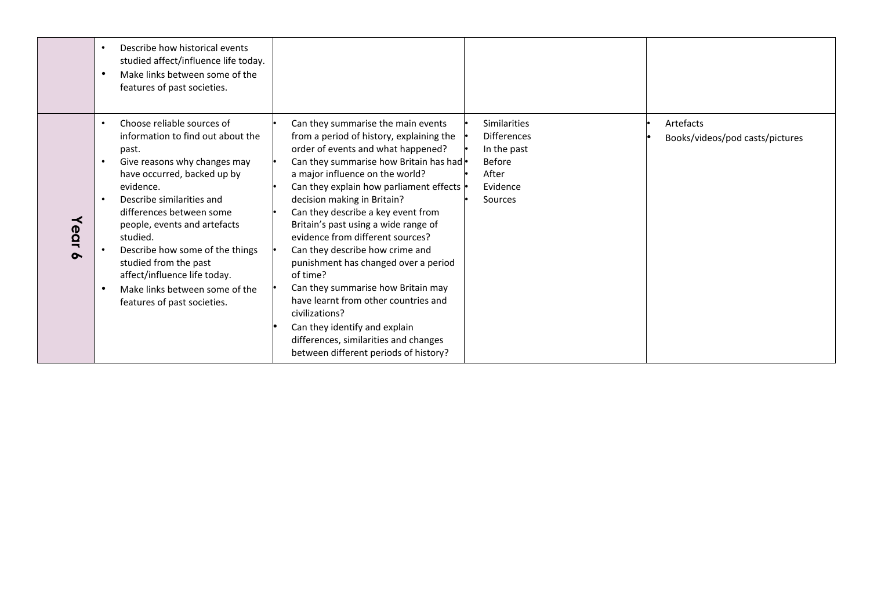|                       | Describe how historical events<br>$\bullet$<br>studied affect/influence life today.<br>Make links between some of the<br>$\bullet$<br>features of past societies.                                                                                                                                                                                                                                                                                                                       |                                                                                                                                                                                                                                                                                                                                                                                                                                                                                                                                                                                                                                                                                                            |                                                                                                    |                                              |
|-----------------------|-----------------------------------------------------------------------------------------------------------------------------------------------------------------------------------------------------------------------------------------------------------------------------------------------------------------------------------------------------------------------------------------------------------------------------------------------------------------------------------------|------------------------------------------------------------------------------------------------------------------------------------------------------------------------------------------------------------------------------------------------------------------------------------------------------------------------------------------------------------------------------------------------------------------------------------------------------------------------------------------------------------------------------------------------------------------------------------------------------------------------------------------------------------------------------------------------------------|----------------------------------------------------------------------------------------------------|----------------------------------------------|
| ≺<br>ear<br>$\bullet$ | Choose reliable sources of<br>$\bullet$<br>information to find out about the<br>past.<br>Give reasons why changes may<br>$\bullet$<br>have occurred, backed up by<br>evidence.<br>Describe similarities and<br>$\bullet$<br>differences between some<br>people, events and artefacts<br>studied.<br>Describe how some of the things<br>$\bullet$<br>studied from the past<br>affect/influence life today.<br>Make links between some of the<br>$\bullet$<br>features of past societies. | Can they summarise the main events<br>from a period of history, explaining the<br>order of events and what happened?<br>Can they summarise how Britain has had  •<br>a major influence on the world?<br>Can they explain how parliament effects<br>decision making in Britain?<br>Can they describe a key event from<br>Britain's past using a wide range of<br>evidence from different sources?<br>Can they describe how crime and<br>punishment has changed over a period<br>of time?<br>Can they summarise how Britain may<br>have learnt from other countries and<br>civilizations?<br>Can they identify and explain<br>differences, similarities and changes<br>between different periods of history? | Similarities<br><b>Differences</b><br>In the past<br><b>Before</b><br>After<br>Evidence<br>Sources | Artefacts<br>Books/videos/pod casts/pictures |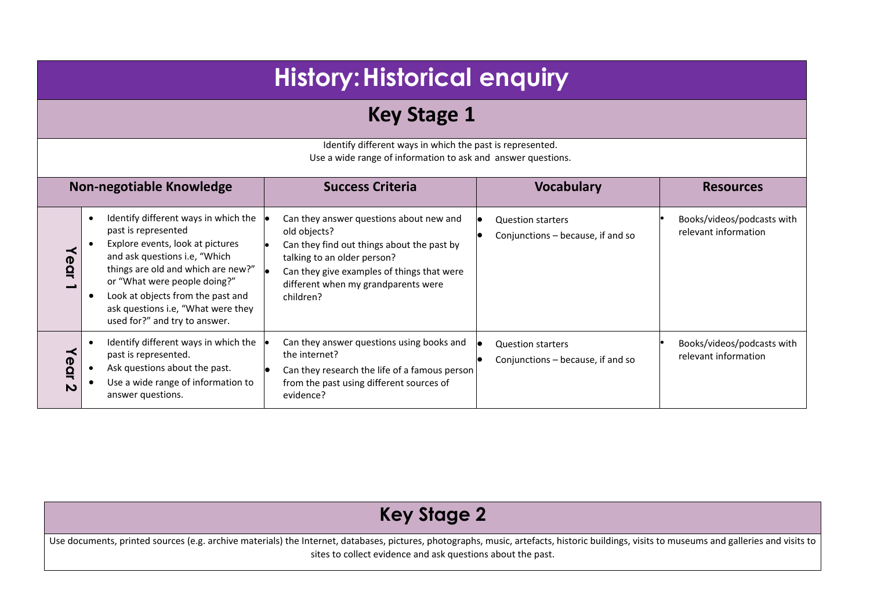|                                                                                                                           | <b>History: Historical enquiry</b>                                                                                                                                                                                                                                                                                 |                                                                                                                                                                                                                                        |                                                               |                                                    |  |
|---------------------------------------------------------------------------------------------------------------------------|--------------------------------------------------------------------------------------------------------------------------------------------------------------------------------------------------------------------------------------------------------------------------------------------------------------------|----------------------------------------------------------------------------------------------------------------------------------------------------------------------------------------------------------------------------------------|---------------------------------------------------------------|----------------------------------------------------|--|
|                                                                                                                           | <b>Key Stage 1</b>                                                                                                                                                                                                                                                                                                 |                                                                                                                                                                                                                                        |                                                               |                                                    |  |
| Identify different ways in which the past is represented.<br>Use a wide range of information to ask and answer questions. |                                                                                                                                                                                                                                                                                                                    |                                                                                                                                                                                                                                        |                                                               |                                                    |  |
|                                                                                                                           | <b>Non-negotiable Knowledge</b>                                                                                                                                                                                                                                                                                    | <b>Success Criteria</b>                                                                                                                                                                                                                | <b>Vocabulary</b>                                             | <b>Resources</b>                                   |  |
| ear                                                                                                                       | Identify different ways in which the<br>past is represented<br>Explore events, look at pictures<br>and ask questions i.e, "Which<br>things are old and which are new?"<br>or "What were people doing?"<br>Look at objects from the past and<br>ask questions i.e, "What were they<br>used for?" and try to answer. | Can they answer questions about new and<br>old objects?<br>Can they find out things about the past by<br>talking to an older person?<br>Can they give examples of things that were<br>different when my grandparents were<br>children? | <b>Question starters</b><br>Conjunctions - because, if and so | Books/videos/podcasts with<br>relevant information |  |
| Year<br>N                                                                                                                 | Identify different ways in which the<br>past is represented.<br>Ask questions about the past.<br>Use a wide range of information to<br>answer questions.                                                                                                                                                           | Can they answer questions using books and<br>the internet?<br>Can they research the life of a famous person<br>from the past using different sources of<br>evidence?                                                                   | <b>Question starters</b><br>Conjunctions - because, if and so | Books/videos/podcasts with<br>relevant information |  |

#### **Key Stage 2** Use documents, printed sources (e.g. archive materials) the Internet, databases, pictures, photographs, music, artefacts, historic buildings, visits to museums and galleries and visits to sites to collect evidence and ask questions about the past.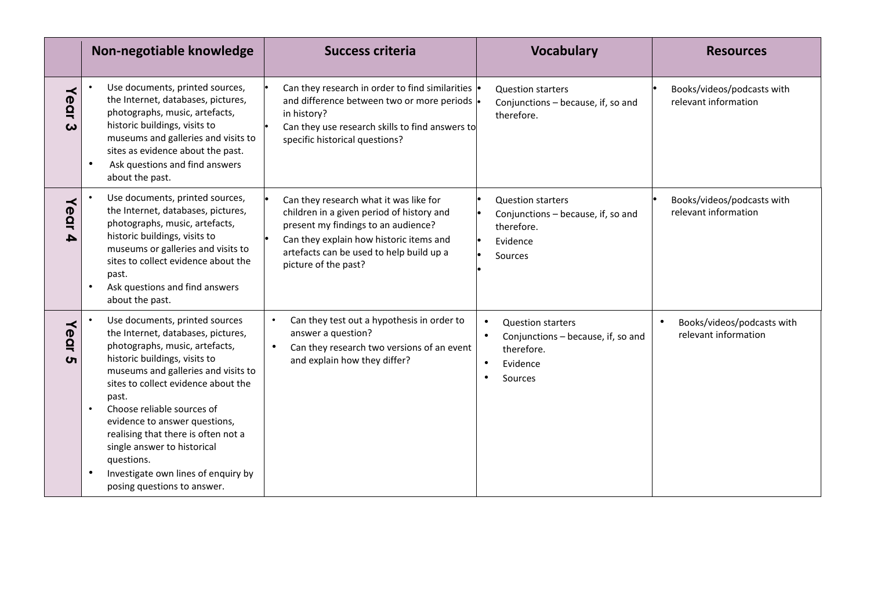|                      | Non-negotiable knowledge                                                                                                                                                                                                                                                                                                                                                                                                                                             | <b>Success criteria</b>                                                                                                                                                                                                                   | <b>Vocabulary</b>                                                                                                             | <b>Resources</b>                                   |
|----------------------|----------------------------------------------------------------------------------------------------------------------------------------------------------------------------------------------------------------------------------------------------------------------------------------------------------------------------------------------------------------------------------------------------------------------------------------------------------------------|-------------------------------------------------------------------------------------------------------------------------------------------------------------------------------------------------------------------------------------------|-------------------------------------------------------------------------------------------------------------------------------|----------------------------------------------------|
| ≺<br><b>POI</b><br>ω | Use documents, printed sources,<br>the Internet, databases, pictures,<br>photographs, music, artefacts,<br>historic buildings, visits to<br>museums and galleries and visits to<br>sites as evidence about the past.<br>Ask questions and find answers<br>about the past.                                                                                                                                                                                            | Can they research in order to find similarities<br>and difference between two or more periods<br>in history?<br>Can they use research skills to find answers to<br>specific historical questions?                                         | <b>Question starters</b><br>Conjunctions - because, if, so and<br>therefore.                                                  | Books/videos/podcasts with<br>relevant information |
| Year<br>A            | Use documents, printed sources,<br>the Internet, databases, pictures,<br>photographs, music, artefacts,<br>historic buildings, visits to<br>museums or galleries and visits to<br>sites to collect evidence about the<br>past.<br>Ask questions and find answers<br>about the past.                                                                                                                                                                                  | Can they research what it was like for<br>children in a given period of history and<br>present my findings to an audience?<br>Can they explain how historic items and<br>artefacts can be used to help build up a<br>picture of the past? | <b>Question starters</b><br>Conjunctions - because, if, so and<br>therefore.<br>Evidence<br>Sources                           | Books/videos/podcasts with<br>relevant information |
| Year<br>ហ            | Use documents, printed sources<br>the Internet, databases, pictures,<br>photographs, music, artefacts,<br>historic buildings, visits to<br>museums and galleries and visits to<br>sites to collect evidence about the<br>past.<br>Choose reliable sources of<br>$\bullet$<br>evidence to answer questions,<br>realising that there is often not a<br>single answer to historical<br>questions.<br>Investigate own lines of enquiry by<br>posing questions to answer. | Can they test out a hypothesis in order to<br>$\bullet$<br>answer a question?<br>$\bullet$<br>Can they research two versions of an event<br>and explain how they differ?                                                                  | $\bullet$<br><b>Question starters</b><br>$\bullet$<br>Conjunctions - because, if, so and<br>therefore.<br>Evidence<br>Sources | Books/videos/podcasts with<br>relevant information |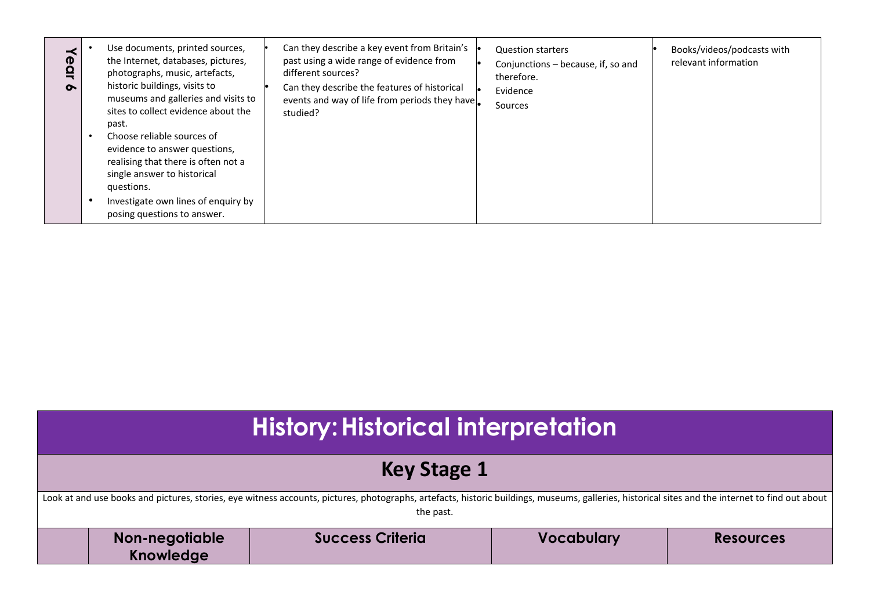| $\boldsymbol{\sigma}$<br>$\sim$ | Use documents, printed sources,<br>the Internet, databases, pictures,<br>photographs, music, artefacts,<br>historic buildings, visits to<br>museums and galleries and visits to<br>sites to collect evidence about the<br>past.<br>Choose reliable sources of<br>evidence to answer questions,<br>realising that there is often not a<br>single answer to historical<br>questions.<br>Investigate own lines of enquiry by<br>posing questions to answer. | Can they describe a key event from Britain's<br>past using a wide range of evidence from<br>different sources?<br>Can they describe the features of historical<br>events and way of life from periods they have<br>studied? | <b>Question starters</b><br>Conjunctions - because, if, so and<br>therefore.<br>Evidence<br>Sources | Books/videos/podcasts with<br>relevant information |
|---------------------------------|----------------------------------------------------------------------------------------------------------------------------------------------------------------------------------------------------------------------------------------------------------------------------------------------------------------------------------------------------------------------------------------------------------------------------------------------------------|-----------------------------------------------------------------------------------------------------------------------------------------------------------------------------------------------------------------------------|-----------------------------------------------------------------------------------------------------|----------------------------------------------------|
|---------------------------------|----------------------------------------------------------------------------------------------------------------------------------------------------------------------------------------------------------------------------------------------------------------------------------------------------------------------------------------------------------------------------------------------------------------------------------------------------------|-----------------------------------------------------------------------------------------------------------------------------------------------------------------------------------------------------------------------------|-----------------------------------------------------------------------------------------------------|----------------------------------------------------|

| <b>History: Historical interpretation</b>                                                                                                                                                                     |                         |                   |                  |  |
|---------------------------------------------------------------------------------------------------------------------------------------------------------------------------------------------------------------|-------------------------|-------------------|------------------|--|
| Key Stage 1                                                                                                                                                                                                   |                         |                   |                  |  |
| Look at and use books and pictures, stories, eye witness accounts, pictures, photographs, artefacts, historic buildings, museums, galleries, historical sites and the internet to find out about<br>the past. |                         |                   |                  |  |
| Non-negotiable<br>Knowledge                                                                                                                                                                                   | <b>Success Criteria</b> | <b>Vocabulary</b> | <b>Resources</b> |  |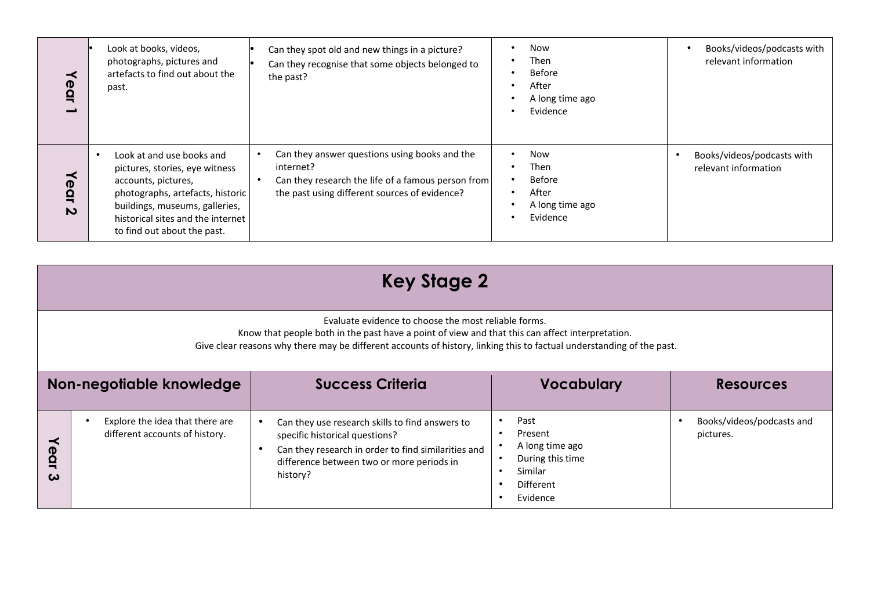| ≺<br>Ω                                                  | Look at books, videos,<br>photographs, pictures and<br>artefacts to find out about the<br>past.                                                                                                                              | Can they spot old and new things in a picture?<br>Can they recognise that some objects belonged to<br>the past?                                                   | Now<br>Then<br><b>Before</b><br>After<br>A long time ago<br>Evidence | Books/videos/podcasts with<br>relevant information |
|---------------------------------------------------------|------------------------------------------------------------------------------------------------------------------------------------------------------------------------------------------------------------------------------|-------------------------------------------------------------------------------------------------------------------------------------------------------------------|----------------------------------------------------------------------|----------------------------------------------------|
| <sup>(D)</sup><br>$\mathbf{a}$<br>$\boldsymbol{\omega}$ | Look at and use books and<br>pictures, stories, eye witness<br>accounts, pictures,<br>photographs, artefacts, historic<br>buildings, museums, galleries,<br>historical sites and the internet<br>to find out about the past. | Can they answer questions using books and the<br>internet?<br>Can they research the life of a famous person from<br>the past using different sources of evidence? | Now<br>Then<br><b>Before</b><br>After<br>A long time ago<br>Evidence | Books/videos/podcasts with<br>relevant information |

|  | <b>Key Stage 2</b> |  |
|--|--------------------|--|
|--|--------------------|--|

Evaluate evidence to choose the most reliable forms.

Know that people both in the past have a point of view and that this can affect interpretation.

Give clear reasons why there may be different accounts of history, linking this to factual understanding of the past.

|                       | Non-negotiable knowledge                                          | <b>Success Criteria</b>                                                                                                                                                                           | <b>Vocabulary</b>                                                                          | <b>Resources</b>                       |
|-----------------------|-------------------------------------------------------------------|---------------------------------------------------------------------------------------------------------------------------------------------------------------------------------------------------|--------------------------------------------------------------------------------------------|----------------------------------------|
| $\mathbf 0$<br>Ω<br>ω | Explore the idea that there are<br>different accounts of history. | Can they use research skills to find answers to<br>specific historical questions?<br>Can they research in order to find similarities and<br>difference between two or more periods in<br>history? | Past<br>Present<br>A long time ago<br>During this time<br>Similar<br>Different<br>Evidence | Books/videos/podcasts and<br>pictures. |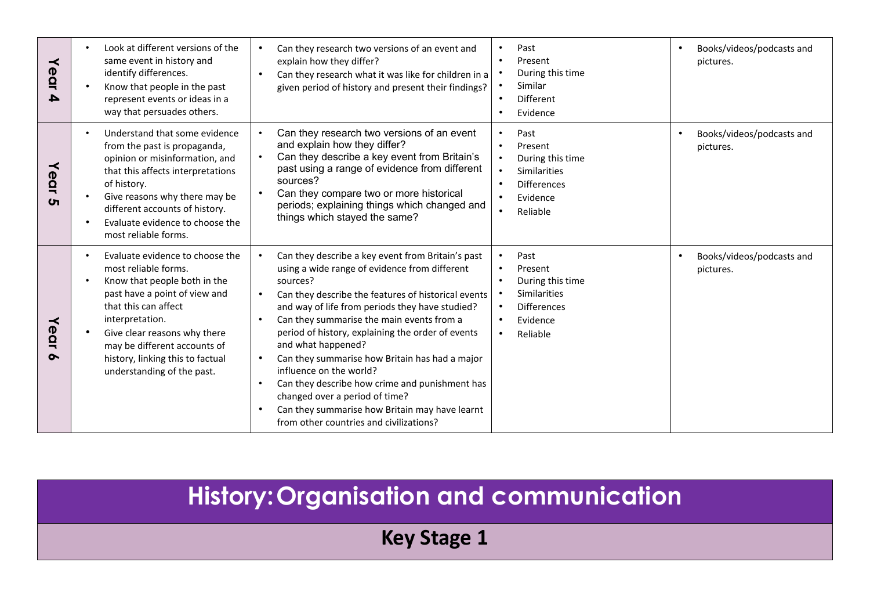| ≺<br>ear<br>4         | Look at different versions of the<br>$\bullet$<br>same event in history and<br>identify differences.<br>Know that people in the past<br>$\bullet$<br>represent events or ideas in a<br>way that persuades others.                                                                                                                            | Can they research two versions of an event and<br>explain how they differ?<br>Can they research what it was like for children in a<br>given period of history and present their findings?                                                                                                                                                                                                                                                                                                                                                                                                                                                | Past<br>$\bullet$<br>Present<br>$\bullet$<br>During this time<br>Similar<br>$\bullet$<br>Different<br>$\bullet$<br>Evidence<br>$\bullet$                                                            | Books/videos/podcasts and<br>$\bullet$<br>pictures. |
|-----------------------|----------------------------------------------------------------------------------------------------------------------------------------------------------------------------------------------------------------------------------------------------------------------------------------------------------------------------------------------|------------------------------------------------------------------------------------------------------------------------------------------------------------------------------------------------------------------------------------------------------------------------------------------------------------------------------------------------------------------------------------------------------------------------------------------------------------------------------------------------------------------------------------------------------------------------------------------------------------------------------------------|-----------------------------------------------------------------------------------------------------------------------------------------------------------------------------------------------------|-----------------------------------------------------|
| ≺<br>ear<br>$\sigma$  | Understand that some evidence<br>$\bullet$<br>from the past is propaganda,<br>opinion or misinformation, and<br>that this affects interpretations<br>of history.<br>Give reasons why there may be<br>$\bullet$<br>different accounts of history.<br>Evaluate evidence to choose the<br>$\bullet$<br>most reliable forms.                     | Can they research two versions of an event<br>and explain how they differ?<br>Can they describe a key event from Britain's<br>past using a range of evidence from different<br>sources?<br>Can they compare two or more historical<br>periods; explaining things which changed and<br>things which stayed the same?                                                                                                                                                                                                                                                                                                                      | Past<br>$\bullet$<br>Present<br>$\bullet$<br>During this time<br>$\bullet$<br><b>Similarities</b><br>$\bullet$<br><b>Differences</b><br>$\bullet$<br>Evidence<br>$\bullet$<br>Reliable<br>$\bullet$ | Books/videos/podcasts and<br>pictures.              |
| ≺<br>ear<br>$\bullet$ | Evaluate evidence to choose the<br>$\bullet$<br>most reliable forms.<br>Know that people both in the<br>$\bullet$<br>past have a point of view and<br>that this can affect<br>interpretation.<br>Give clear reasons why there<br>$\bullet$<br>may be different accounts of<br>history, linking this to factual<br>understanding of the past. | Can they describe a key event from Britain's past<br>using a wide range of evidence from different<br>sources?<br>Can they describe the features of historical events<br>and way of life from periods they have studied?<br>Can they summarise the main events from a<br>$\bullet$<br>period of history, explaining the order of events<br>and what happened?<br>Can they summarise how Britain has had a major<br>influence on the world?<br>Can they describe how crime and punishment has<br>$\bullet$<br>changed over a period of time?<br>Can they summarise how Britain may have learnt<br>from other countries and civilizations? | Past<br>$\bullet$<br>Present<br>$\bullet$<br>During this time<br>$\bullet$<br><b>Similarities</b><br>$\bullet$<br><b>Differences</b><br>$\bullet$<br>Evidence<br>$\bullet$<br>Reliable<br>$\bullet$ | Books/videos/podcasts and<br>$\bullet$<br>pictures. |

# **History:Organisation and communication**

**Key Stage 1**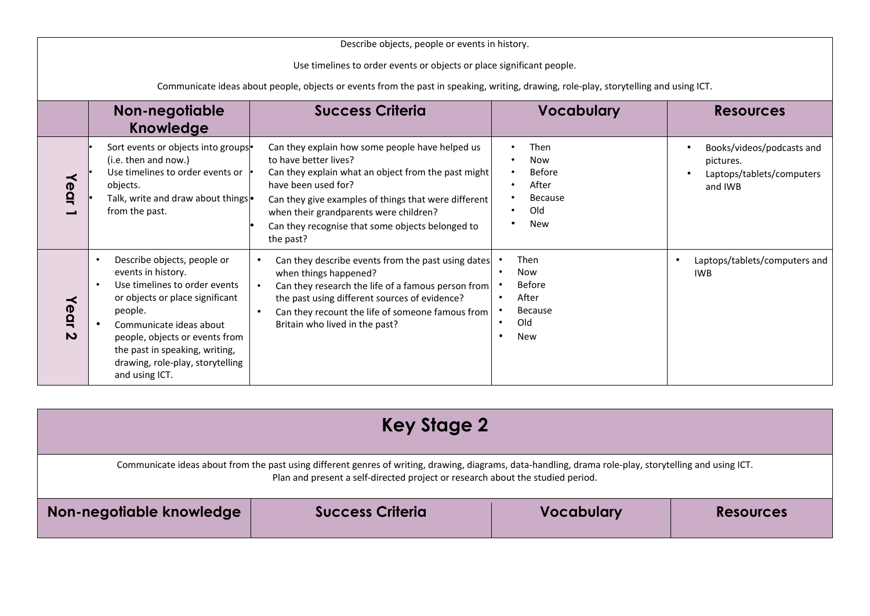| Describe objects, people or events in history.                                                                                                                                                                 |                                     |                                                                                                                                                                                                                                                                                       |                                                                                                                                                                                                                                                                                                                           |                                                                                     |                                                                                |
|----------------------------------------------------------------------------------------------------------------------------------------------------------------------------------------------------------------|-------------------------------------|---------------------------------------------------------------------------------------------------------------------------------------------------------------------------------------------------------------------------------------------------------------------------------------|---------------------------------------------------------------------------------------------------------------------------------------------------------------------------------------------------------------------------------------------------------------------------------------------------------------------------|-------------------------------------------------------------------------------------|--------------------------------------------------------------------------------|
| Use timelines to order events or objects or place significant people.<br>Communicate ideas about people, objects or events from the past in speaking, writing, drawing, role-play, storytelling and using ICT. |                                     |                                                                                                                                                                                                                                                                                       |                                                                                                                                                                                                                                                                                                                           |                                                                                     |                                                                                |
|                                                                                                                                                                                                                |                                     | Non-negotiable<br>Knowledge                                                                                                                                                                                                                                                           | <b>Success Criteria</b>                                                                                                                                                                                                                                                                                                   | <b>Vocabulary</b>                                                                   | <b>Resources</b>                                                               |
|                                                                                                                                                                                                                | ≺<br>ear                            | Sort events or objects into groups<br>(i.e. then and now.)<br>Use timelines to order events or let<br>objects.<br>Talk, write and draw about things •<br>from the past.                                                                                                               | Can they explain how some people have helped us<br>to have better lives?<br>Can they explain what an object from the past might<br>have been used for?<br>Can they give examples of things that were different<br>when their grandparents were children?<br>Can they recognise that some objects belonged to<br>the past? | Then<br>Now<br><b>Before</b><br>After<br>Because<br>Old<br><b>New</b>               | Books/videos/podcasts and<br>pictures.<br>Laptops/tablets/computers<br>and IWB |
|                                                                                                                                                                                                                | ≺<br>ear<br>$\overline{\mathbf{v}}$ | Describe objects, people or<br>events in history.<br>Use timelines to order events<br>or objects or place significant<br>people.<br>Communicate ideas about<br>people, objects or events from<br>the past in speaking, writing,<br>drawing, role-play, storytelling<br>and using ICT. | Can they describe events from the past using dates<br>when things happened?<br>Can they research the life of a famous person from<br>the past using different sources of evidence?<br>Can they recount the life of someone famous from<br>Britain who lived in the past?                                                  | Then<br><b>Now</b><br><b>Before</b><br>After<br><b>Because</b><br>Old<br><b>New</b> | Laptops/tablets/computers and<br>$\bullet$<br><b>IWB</b>                       |

| Key Stage 2                                                                                                                                                                                                                               |                         |                   |                  |  |
|-------------------------------------------------------------------------------------------------------------------------------------------------------------------------------------------------------------------------------------------|-------------------------|-------------------|------------------|--|
| Communicate ideas about from the past using different genres of writing, drawing, diagrams, data-handling, drama role-play, storytelling and using ICT.<br>Plan and present a self-directed project or research about the studied period. |                         |                   |                  |  |
| Non-negotiable knowledge                                                                                                                                                                                                                  | <b>Success Criteria</b> | <b>Vocabulary</b> | <b>Resources</b> |  |